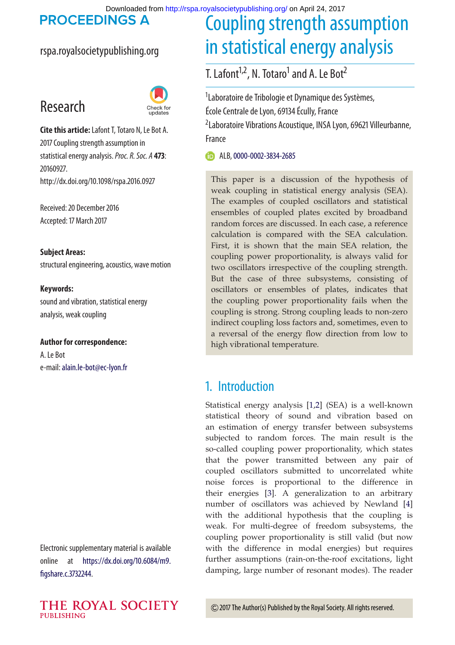Downloaded from<http://rspa.royalsocietypublishing.org/>on April 24, 2017<br>PROCEEDINGS A Counting strangth as

## rspa.royalsocietypublishing.org

# Research



**Cite this article:**Lafont T, Totaro N, Le Bot A. 2017 Coupling strength assumption in statistical energy analysis.*Proc. R. Soc. A* **473**: 20160927. http://dx.doi.org/10.1098/rspa.2016.0927

Received: 20 December 2016 Accepted: 17 March 2017

**Subject Areas:** structural engineering, acoustics, wave motion

## **Keywords:**

sound and vibration, statistical energy analysis, weak coupling

#### **Author for correspondence:**

A. Le Bot e-mail:[alain.le-bot@ec-lyon.fr](mailto:alain.le-bot@ec-lyon.fr)

Electronic supplementary material is available online at [https://dx.doi.org/10.6084/m9.](https://dx.doi.org/10.6084/m9.figshare.c.3732244) [figshare.c.3732244.](https://dx.doi.org/10.6084/m9.figshare.c.3732244)

# Coupling strength assumption in statistical energy analysis

T. Lafont<sup>1,2</sup>, N. Totaro<sup>1</sup> and A. Le Bot<sup>2</sup>

<sup>1</sup> Laboratoire de Tribologie et Dynamique des Systèmes,

École Centrale de Lyon, 69134 Écully, France

2 Laboratoire Vibrations Acoustique, INSA Lyon, 69621 Villeurbanne, France

ALB, [0000-0002-3834-2685](http://orcid.org/0000-0002-3834-2685)

This paper is a discussion of the hypothesis of weak coupling in statistical energy analysis (SEA). The examples of coupled oscillators and statistical ensembles of coupled plates excited by broadband random forces are discussed. In each case, a reference calculation is compared with the SEA calculation. First, it is shown that the main SEA relation, the coupling power proportionality, is always valid for two oscillators irrespective of the coupling strength. But the case of three subsystems, consisting of oscillators or ensembles of plates, indicates that the coupling power proportionality fails when the coupling is strong. Strong coupling leads to non-zero indirect coupling loss factors and, sometimes, even to a reversal of the energy flow direction from low to high vibrational temperature.

# 1. Introduction

Statistical energy analysis [\[1,](#page-16-0)[2\]](#page-16-1) (SEA) is a well-known statistical theory of sound and vibration based on an estimation of energy transfer between subsystems subjected to random forces. The main result is the so-called coupling power proportionality, which states that the power transmitted between any pair of coupled oscillators submitted to uncorrelated white noise forces is proportional to the difference in their energies [\[3\]](#page-16-2). A generalization to an arbitrary number of oscillators was achieved by Newland [\[4\]](#page-16-3) with the additional hypothesis that the coupling is weak. For multi-degree of freedom subsystems, the coupling power proportionality is still valid (but now with the difference in modal energies) but requires further assumptions (rain-on-the-roof excitations, light damping, large number of resonant modes). The reader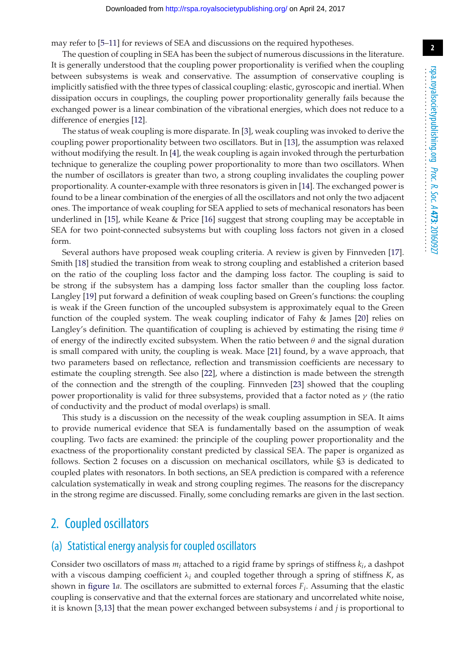may refer to [\[5](#page-16-4)[–11\]](#page-17-0) for reviews of SEA and discussions on the required hypotheses.

The question of coupling in SEA has been the subject of numerous discussions in the literature. It is generally understood that the coupling power proportionality is verified when the coupling between subsystems is weak and conservative. The assumption of conservative coupling is implicitly satisfied with the three types of classical coupling: elastic, gyroscopic and inertial. When dissipation occurs in couplings, the coupling power proportionality generally fails because the exchanged power is a linear combination of the vibrational energies, which does not reduce to a difference of energies [\[12\]](#page-17-1).

The status of weak coupling is more disparate. In [\[3\]](#page-16-2), weak coupling was invoked to derive the coupling power proportionality between two oscillators. But in [\[13\]](#page-17-2), the assumption was relaxed without modifying the result. In [\[4\]](#page-16-3), the weak coupling is again invoked through the perturbation technique to generalize the coupling power proportionality to more than two oscillators. When the number of oscillators is greater than two, a strong coupling invalidates the coupling power proportionality. A counter-example with three resonators is given in [\[14\]](#page-17-3). The exchanged power is found to be a linear combination of the energies of all the oscillators and not only the two adjacent ones. The importance of weak coupling for SEA applied to sets of mechanical resonators has been underlined in [\[15\]](#page-17-4), while Keane & Price [\[16\]](#page-17-5) suggest that strong coupling may be acceptable in SEA for two point-connected subsystems but with coupling loss factors not given in a closed form.

Several authors have proposed weak coupling criteria. A review is given by Finnveden [\[17\]](#page-17-6). Smith [\[18\]](#page-17-7) studied the transition from weak to strong coupling and established a criterion based on the ratio of the coupling loss factor and the damping loss factor. The coupling is said to be strong if the subsystem has a damping loss factor smaller than the coupling loss factor. Langley [\[19\]](#page-17-8) put forward a definition of weak coupling based on Green's functions: the coupling is weak if the Green function of the uncoupled subsystem is approximately equal to the Green function of the coupled system. The weak coupling indicator of Fahy & James [\[20\]](#page-17-9) relies on Langley's definition. The quantification of coupling is achieved by estimating the rising time  $\theta$ of energy of the indirectly excited subsystem. When the ratio between  $\theta$  and the signal duration is small compared with unity, the coupling is weak. Mace [\[21\]](#page-17-10) found, by a wave approach, that two parameters based on reflectance, reflection and transmission coefficients are necessary to estimate the coupling strength. See also [\[22\]](#page-17-11), where a distinction is made between the strength of the connection and the strength of the coupling. Finnveden [\[23\]](#page-17-12) showed that the coupling power proportionality is valid for three subsystems, provided that a factor noted as  $\gamma$  (the ratio of conductivity and the product of modal overlaps) is small.

This study is a discussion on the necessity of the weak coupling assumption in SEA. It aims to provide numerical evidence that SEA is fundamentally based on the assumption of weak coupling. Two facts are examined: the principle of the coupling power proportionality and the exactness of the proportionality constant predicted by classical SEA. The paper is organized as follows. Section 2 focuses on a discussion on mechanical oscillators, while §3 is dedicated to coupled plates with resonators. In both sections, an SEA prediction is compared with a reference calculation systematically in weak and strong coupling regimes. The reasons for the discrepancy in the strong regime are discussed. Finally, some concluding remarks are given in the last section.

# 2. Coupled oscillators

#### (a) Statistical energy analysis for coupled oscillators

Consider two oscillators of mass  $m_i$  attached to a rigid frame by springs of stiffness  $k_i$ , a dashpot with a viscous damping coefficient  $\lambda_i$  and coupled together through a spring of stiffness  $K$ , as shown in [figure 1](#page-2-0)*a*. The oscillators are submitted to external forces *Fi*. Assuming that the elastic coupling is conservative and that the external forces are stationary and uncorrelated white noise, it is known [\[3](#page-16-2)[,13\]](#page-17-2) that the mean power exchanged between subsystems *i* and *j* is proportional to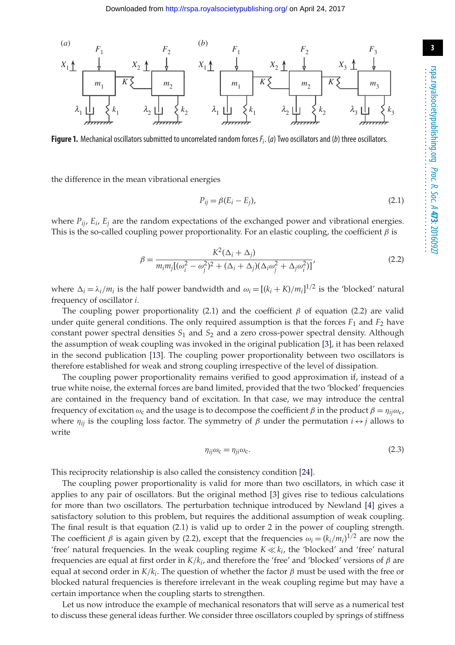

<span id="page-2-0"></span>**Figure 1.** Mechanical oscillators submitted to uncorrelated random forces*Fi*. (*a*) Two oscillators and (*b*) three oscillators.

the difference in the mean vibrational energies

$$
P_{ij} = \beta (E_i - E_j),\tag{2.1}
$$

where  $P_{ii}$ ,  $E_i$ ,  $E_j$  are the random expectations of the exchanged power and vibrational energies. This is the so-called coupling power proportionality. For an elastic coupling, the coefficient  $\beta$  is

$$
\beta = \frac{K^2(\Delta_i + \Delta_j)}{m_i m_j [(\omega_i^2 - \omega_j^2)^2 + (\Delta_i + \Delta_j)(\Delta_i \omega_j^2 + \Delta_j \omega_i^2)]'}
$$
\n(2.2)

where  $\Delta_i = \lambda_i/m_i$  is the half power bandwidth and  $\omega_i = [(k_i + K)/m_i]^{1/2}$  is the 'blocked' natural frequency of oscillator *i*.

The coupling power proportionality (2.1) and the coefficient  $\beta$  of equation (2.2) are valid under quite general conditions. The only required assumption is that the forces  $F_1$  and  $F_2$  have constant power spectral densities  $S_1$  and  $S_2$  and a zero cross-power spectral density. Although the assumption of weak coupling was invoked in the original publication [\[3\]](#page-16-2), it has been relaxed in the second publication [\[13\]](#page-17-2). The coupling power proportionality between two oscillators is therefore established for weak and strong coupling irrespective of the level of dissipation.

The coupling power proportionality remains verified to good approximation if, instead of a true white noise, the external forces are band limited, provided that the two 'blocked' frequencies are contained in the frequency band of excitation. In that case, we may introduce the central frequency of excitation  $\omega_c$  and the usage is to decompose the coefficient  $\beta$  in the product  $\beta = \eta_{ii}\omega_c$ , where  $\eta_{ij}$  is the coupling loss factor. The symmetry of  $\beta$  under the permutation  $i \leftrightarrow j$  allows to write

$$
\eta_{ij}\omega_{\rm c} = \eta_{ji}\omega_{\rm c}.\tag{2.3}
$$

This reciprocity relationship is also called the consistency condition [\[24\]](#page-17-13).

The coupling power proportionality is valid for more than two oscillators, in which case it applies to any pair of oscillators. But the original method [\[3\]](#page-16-2) gives rise to tedious calculations for more than two oscillators. The perturbation technique introduced by Newland [\[4\]](#page-16-3) gives a satisfactory solution to this problem, but requires the additional assumption of weak coupling. The final result is that equation (2.1) is valid up to order 2 in the power of coupling strength. The coefficient  $\beta$  is again given by (2.2), except that the frequencies  $\omega_i = (k_i/m_i)^{1/2}$  are now the 'free' natural frequencies. In the weak coupling regime  $K \ll k_i$ , the 'blocked' and 'free' natural frequencies are equal at first order in *K*/*ki*, and therefore the 'free' and 'blocked' versions of β are equal at second order in  $K/k<sub>i</sub>$ . The question of whether the factor  $\beta$  must be used with the free or blocked natural frequencies is therefore irrelevant in the weak coupling regime but may have a certain importance when the coupling starts to strengthen.

Let us now introduce the example of mechanical resonators that will serve as a numerical test to discuss these general ideas further. We consider three oscillators coupled by springs of stiffness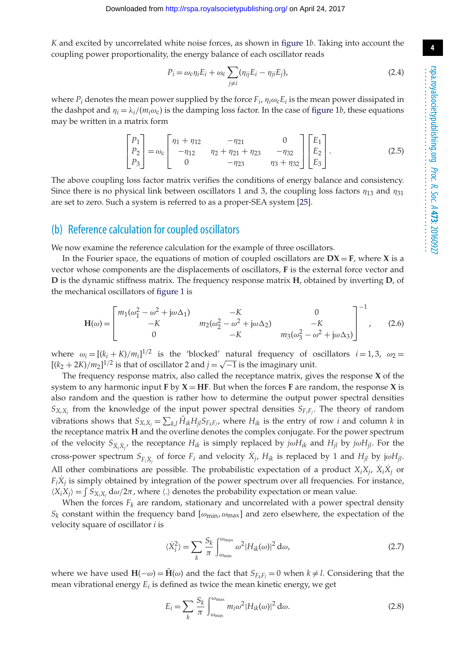*K* and excited by uncorrelated white noise forces, as shown in [figure 1](#page-2-0)*b*. Taking into account the coupling power proportionality, the energy balance of each oscillator reads

$$
P_i = \omega_c \eta_i E_i + \omega_c \sum_{j \neq i} (\eta_{ij} E_i - \eta_{ji} E_j),
$$
\n(2.4)

where  $P_i$  denotes the mean power supplied by the force  $F_i$ ,  $\eta_i \omega_c E_i$  is the mean power dissipated in the dashpot and  $\eta_i = \lambda_i/(m_i \omega_c)$  is the damping loss factor. In the case of [figure 1](#page-2-0)*b*, these equations may be written in a matrix form

$$
\begin{bmatrix} P_1 \\ P_2 \\ P_3 \end{bmatrix} = \omega_c \begin{bmatrix} \eta_1 + \eta_{12} & -\eta_{21} & 0 \\ -\eta_{12} & \eta_2 + \eta_{21} + \eta_{23} & -\eta_{32} \\ 0 & -\eta_{23} & \eta_3 + \eta_{32} \end{bmatrix} \begin{bmatrix} E_1 \\ E_2 \\ E_3 \end{bmatrix}.
$$
 (2.5)

The above coupling loss factor matrix verifies the conditions of energy balance and consistency. Since there is no physical link between oscillators 1 and 3, the coupling loss factors  $\eta_{13}$  and  $\eta_{31}$ are set to zero. Such a system is referred to as a proper-SEA system [\[25\]](#page-17-14).

#### (b) Reference calculation for coupled oscillators

We now examine the reference calculation for the example of three oscillators.

In the Fourier space, the equations of motion of coupled oscillators are  $DX = F$ , where X is a vector whose components are the displacements of oscillators, **F** is the external force vector and **D** is the dynamic stiffness matrix. The frequency response matrix **H**, obtained by inverting **D**, of the mechanical oscillators of [figure 1](#page-2-0) is

$$
\mathbf{H}(\omega) = \begin{bmatrix} m_1(\omega_1^2 - \omega^2 + j\omega\Delta_1) & -K & 0\\ -K & m_2(\omega_2^2 - \omega^2 + j\omega\Delta_2) & -K\\ 0 & -K & m_3(\omega_3^2 - \omega^2 + j\omega\Delta_3) \end{bmatrix}^{-1},
$$
(2.6)

where  $\omega_i = [(k_i + K)/m_i]^{1/2}$  is the 'blocked' natural frequency of oscillators  $i = 1, 3$ ,  $\omega_2 =$  $[(k_2 + 2K)/m_2]^{1/2}$  is that of oscillator 2 and *j* = √<sup>−1</sup> is the imaginary unit.

The frequency response matrix, also called the receptance matrix, gives the response **X** of the system to any harmonic input  $\bf{F}$  by  $\bf{X} = \bf{H}$  $\bf{F}$ . But when the forces  $\bf{F}$  are random, the response  $\bf{X}$  is also random and the question is rather how to determine the output power spectral densities  $S_{X_iX_j}$  from the knowledge of the input power spectral densities  $S_{F_iF_j}$ . The theory of random vibrations shows that  $S_{X_iX_j} = \sum_{k,l} H_{ik}H_{jl}S_{F_kF_l}$ , where  $H_{ik}$  is the entry of row *i* and column *k* in the receptance matrix **H** and the overline denotes the complex conjugate. For the power spectrum of the velocity  $S_{\dot{X}_i\dot{X}_j}$ , the receptance  $H_{ik}$  is simply replaced by  $j\omega H_{ik}$  and  $H_{jl}$  by  $j\omega H_{jl}$ . For the cross-power spectrum  $S_{F_i \dot{X}_j}$  of force  $F_i$  and velocity  $X_j$ ,  $H_{ik}$  is replaced by 1 and  $H_{jl}$  by j $\omega H_{jl}$ . All other combinations are possible. The probabilistic expectation of a product  $X_iX_i$ ,  $\dot{X}_i\dot{X}_j$  or  $F_iX_j$  is simply obtained by integration of the power spectrum over all frequencies. For instance,  $(X_i X_j) = \int S_{X_i X_j} d\omega / 2\pi$ , where  $\langle \cdot \rangle$  denotes the probability expectation or mean value.

When the forces  $F_k$  are random, stationary and uncorrelated with a power spectral density  $S_k$  constant within the frequency band  $[\omega_{\min}, \omega_{\max}]$  and zero elsewhere, the expectation of the velocity square of oscillator *i* is

$$
\langle \dot{X}_i^2 \rangle = \sum_k \frac{S_k}{\pi} \int_{\omega_{\text{min}}}^{\omega_{\text{max}}} \omega^2 |H_{ik}(\omega)|^2 \, \mathrm{d}\omega,\tag{2.7}
$$

where we have used  $H(-\omega) = \bar{H}(\omega)$  and the fact that  $S_{F_kF_l} = 0$  when  $k \neq l$ . Considering that the mean vibrational energy *Ei* is defined as twice the mean kinetic energy, we get

$$
E_i = \sum_k \frac{S_k}{\pi} \int_{\omega_{\text{min}}}^{\omega_{\text{max}}} m_i \omega^2 |H_{ik}(\omega)|^2 d\omega.
$$
 (2.8)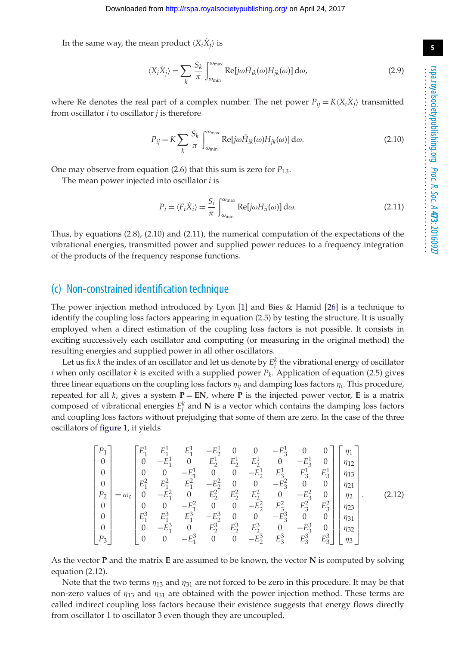In the same way, the mean product  $\langle X_i \overline{X_i} \rangle$  is

$$
\langle X_i \dot{X}_j \rangle = \sum_k \frac{S_k}{\pi} \int_{\omega_{\text{min}}}^{\omega_{\text{max}}} \text{Re}[j\omega \bar{H}_{ik}(\omega) H_{jk}(\omega)] \, d\omega,
$$
\n(2.9)

where Re denotes the real part of a complex number. The net power  $P_{ii} = K \langle X_i X_i \rangle$  transmitted from oscillator *i* to oscillator *j* is therefore

$$
P_{ij} = K \sum_{k} \frac{S_k}{\pi} \int_{\omega_{\text{min}}}^{\omega_{\text{max}}} \text{Re}[j\omega \bar{H}_{ik}(\omega) H_{jk}(\omega)] \, d\omega. \tag{2.10}
$$

One may observe from equation (2.6) that this sum is zero for *P*13.

The mean power injected into oscillator *i* is

$$
P_i = \langle F_i \dot{X}_i \rangle = \frac{S_i}{\pi} \int_{\omega_{\text{min}}}^{\omega_{\text{max}}} \text{Re}[j\omega H_{ii}(\omega)] \, d\omega. \tag{2.11}
$$

Thus, by equations (2.8), (2.10) and (2.11), the numerical computation of the expectations of the vibrational energies, transmitted power and supplied power reduces to a frequency integration of the products of the frequency response functions.

## (c) Non-constrained identification technique

The power injection method introduced by Lyon [\[1\]](#page-16-0) and Bies & Hamid [\[26\]](#page-17-15) is a technique to identify the coupling loss factors appearing in equation (2.5) by testing the structure. It is usually employed when a direct estimation of the coupling loss factors is not possible. It consists in exciting successively each oscillator and computing (or measuring in the original method) the resulting energies and supplied power in all other oscillators.

Let us fix *k* the index of an oscillator and let us denote by  $E_i^k$  the vibrational energy of oscillator *i* when only oscillator *k* is excited with a supplied power  $P_k$ . Application of equation (2.5) gives three linear equations on the coupling loss factors  $\eta_{ii}$  and damping loss factors  $\eta_i$ . This procedure, repeated for all  $k$ , gives a system  $P = EN$ , where  $P$  is the injected power vector,  $E$  is a matrix composed of vibrational energies  $E_i^k$  and  $N$  is a vector which contains the damping loss factors and coupling loss factors without prejudging that some of them are zero. In the case of the three oscillators of [figure 1,](#page-2-0) it yields

$$
\begin{bmatrix}\nP_1 \\
0 \\
0 \\
0 \\
0 \\
0 \\
P_2 \\
P_3\n\end{bmatrix} = \omega_c \begin{bmatrix}\nE_1^1 & E_1^1 & -E_1^1 & 0 & 0 & -E_3^1 & 0 & 0 \\
0 & -E_1^1 & 0 & E_2^1 & E_2^1 & E_2^1 & 0 & -E_3^1 & 0 \\
0 & 0 & -E_1^1 & 0 & 0 & -E_2^1 & E_3^1 & E_3^1 \\
E_1^2 & E_1^2 & E_1^2 & -E_2^2 & 0 & 0 & -E_3^2 & 0 & 0 \\
0 & -E_1^2 & 0 & E_2^2 & E_2^2 & E_2^2 & 0 & -E_3^2 & 0 & 0 \\
0 & 0 & -E_1^2 & 0 & 0 & -E_2^2 & E_3^2 & E_3^2 & E_3^2 \\
E_1^3 & E_1^3 & E_1^3 & -E_2^3 & 0 & 0 & -E_2^3 & 0 & 0 \\
0 & -E_1^3 & 0 & E_2^3 & E_2^3 & E_2^3 & 0 & -E_3^3 & 0 & 0 \\
0 & 0 & -E_1^3 & 0 & E_2^3 & E_2^3 & E_2^3 & 0 & -E_3^3 & 0 & 0 \\
0 & 0 & -E_1^3 & 0 & 0 & -E_2^3 & 0 & -E_3^3 & 0 & 0 \\
0 & 0 & -E_1^3 & 0 & 0 & -E_2^3 & E_3^3 & E_3^3 & E_3^3\n\end{bmatrix} \begin{bmatrix}\n\eta_1 \\
\eta_{12} \\
\eta_{21} \\
\eta_{32} \\
\eta_{13} \\
\eta_{21} \\
\eta_{32} \\
\eta_{33}\n\end{bmatrix}.
$$
\n(2.12)

As the vector **P** and the matrix **E** are assumed to be known, the vector **N** is computed by solving equation (2.12).

Note that the two terms  $\eta_{13}$  and  $\eta_{31}$  are not forced to be zero in this procedure. It may be that non-zero values of  $\eta_{13}$  and  $\eta_{31}$  are obtained with the power injection method. These terms are called indirect coupling loss factors because their existence suggests that energy flows directly from oscillator 1 to oscillator 3 even though they are uncoupled.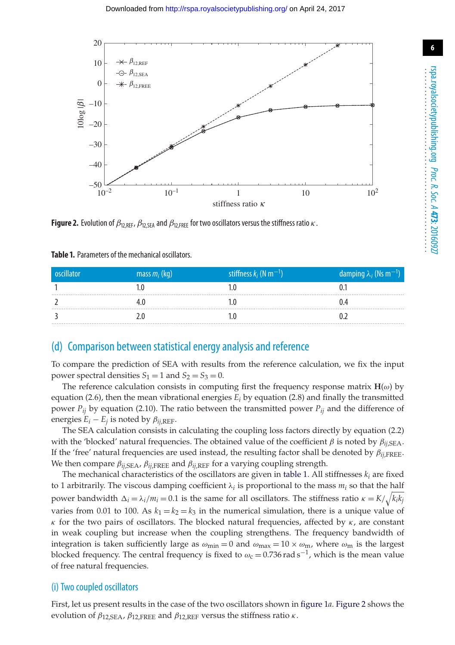

<span id="page-5-1"></span>**Figure 2.** Evolution of  $\beta_{12,REF}$ ,  $\beta_{12,SEA}$  and  $\beta_{12,FREE}$  for two oscillators versus the stiffness ratio  $\kappa$ .

| oscillator | mass $m_i$ (kg) | stiffness $k_i$ (N m <sup>-1</sup> ) | damping $\lambda_i$ (Ns m <sup>-1</sup> ) |
|------------|-----------------|--------------------------------------|-------------------------------------------|
|            |                 |                                      |                                           |
|            |                 |                                      |                                           |
|            |                 |                                      |                                           |

<span id="page-5-0"></span>**Table 1.** Parameters of the mechanical oscillators.

## (d) Comparison between statistical energy analysis and reference

To compare the prediction of SEA with results from the reference calculation, we fix the input power spectral densities  $S_1 = 1$  and  $S_2 = S_3 = 0$ .

The reference calculation consists in computing first the frequency response matrix  $H(\omega)$  by equation (2.6), then the mean vibrational energies  $E_i$  by equation (2.8) and finally the transmitted power  $P_{ij}$  by equation (2.10). The ratio between the transmitted power  $P_{ij}$  and the difference of energies  $E_i - E_j$  is noted by  $\beta_{ij,REF}$ .

The SEA calculation consists in calculating the coupling loss factors directly by equation (2.2) with the 'blocked' natural frequencies. The obtained value of the coefficient  $\beta$  is noted by  $\beta_{ij,SEA}$ . If the 'free' natural frequencies are used instead, the resulting factor shall be denoted by  $\beta_{ij, \text{FREE}}$ . We then compare  $\beta_{ij,SEA}$ ,  $\beta_{ij,FREE}$  and  $\beta_{ij,REF}$  for a varying coupling strength.

The mechanical characteristics of the oscillators are given in [table 1.](#page-5-0) All stiffnesses  $k_i$  are fixed to 1 arbitrarily. The viscous damping coefficient  $\lambda_i$  is proportional to the mass  $m_i$  so that the half power bandwidth  $\Delta_i = \lambda_i/m_i = 0.1$  is the same for all oscillators. The stiffness ratio  $\kappa = K/\sqrt{k_i k_j}$ varies from 0.01 to 100. As  $k_1 = k_2 = k_3$  in the numerical simulation, there is a unique value of κ for the two pairs of oscillators. The blocked natural frequencies, affected by κ, are constant in weak coupling but increase when the coupling strengthens. The frequency bandwidth of integration is taken sufficiently large as  $\omega_{min} = 0$  and  $\omega_{max} = 10 \times \omega_m$ , where  $\omega_m$  is the largest blocked frequency. The central frequency is fixed to  $\omega_c = 0.736 \text{ rad s}^{-1}$ , which is the mean value of free natural frequencies.

#### (i) Two coupled oscillators

First, let us present results in the case of the two oscillators shown in [figure 1](#page-2-0)*a*. [Figure 2](#page-5-1) shows the evolution of  $\beta_{12,SEA}$ ,  $\beta_{12,FREE}$  and  $\beta_{12,REF}$  versus the stiffness ratio  $\kappa$ .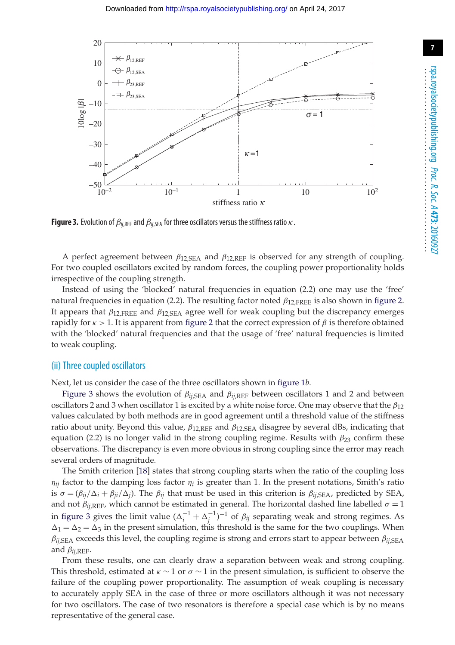

<span id="page-6-0"></span>**Figure 3.** Evolution of  $\beta_{ij,REF}$  and  $\beta_{ij,SEA}$  for three oscillators versus the stiffness ratio  $\kappa$ .

A perfect agreement between  $\beta_{12,SEA}$  and  $\beta_{12,REF}$  is observed for any strength of coupling. For two coupled oscillators excited by random forces, the coupling power proportionality holds irrespective of the coupling strength.

Instead of using the 'blocked' natural frequencies in equation (2.2) one may use the 'free' natural frequencies in equation (2.2). The resulting factor noted  $\beta_{12,\text{FREE}}$  is also shown in [figure 2.](#page-5-1) It appears that  $\beta_{12,\text{FREF}}$  and  $\beta_{12,\text{SFA}}$  agree well for weak coupling but the discrepancy emerges rapidly for  $κ > 1$ . It is apparent from [figure 2](#page-5-1) that the correct expression of  $β$  is therefore obtained with the 'blocked' natural frequencies and that the usage of 'free' natural frequencies is limited to weak coupling.

#### (ii) Three coupled oscillators

Next, let us consider the case of the three oscillators shown in [figure 1](#page-2-0)*b*.

[Figure 3](#page-6-0) shows the evolution of β*ij*,SEA and β*ij*,REF between oscillators 1 and 2 and between oscillators 2 and 3 when oscillator 1 is excited by a white noise force. One may observe that the  $\beta_{12}$ values calculated by both methods are in good agreement until a threshold value of the stiffness ratio about unity. Beyond this value,  $\beta_{12,\text{REF}}$  and  $\beta_{12,\text{SEA}}$  disagree by several dBs, indicating that equation (2.2) is no longer valid in the strong coupling regime. Results with  $\beta_{23}$  confirm these observations. The discrepancy is even more obvious in strong coupling since the error may reach several orders of magnitude.

The Smith criterion [\[18\]](#page-17-7) states that strong coupling starts when the ratio of the coupling loss  $\eta_{ij}$  factor to the damping loss factor  $\eta_i$  is greater than 1. In the present notations, Smith's ratio is  $\sigma = (\beta_{ij}/\Delta_i + \beta_{ji}/\Delta_i)$ . The  $\beta_{ij}$  that must be used in this criterion is  $\beta_{ij,SEA}$ , predicted by SEA, and not  $\beta_{ij,REF}$ , which cannot be estimated in general. The horizontal dashed line labelled  $\sigma=1$ in [figure 3](#page-6-0) gives the limit value  $(\Delta_i^{-1} + \Delta_j^{-1})^{-1}$  of  $\beta_{ij}$  separating weak and strong regimes. As  $\Delta_1 = \Delta_2 = \Delta_3$  in the present simulation, this threshold is the same for the two couplings. When  $\beta_{ii,SEA}$  exceeds this level, the coupling regime is strong and errors start to appear between  $\beta_{ii,SEA}$ and  $\beta_{ii,REF}$ .

From these results, one can clearly draw a separation between weak and strong coupling. This threshold, estimated at  $\kappa \sim 1$  or  $\sigma \sim 1$  in the present simulation, is sufficient to observe the failure of the coupling power proportionality. The assumption of weak coupling is necessary to accurately apply SEA in the case of three or more oscillators although it was not necessary for two oscillators. The case of two resonators is therefore a special case which is by no means representative of the general case.

**7**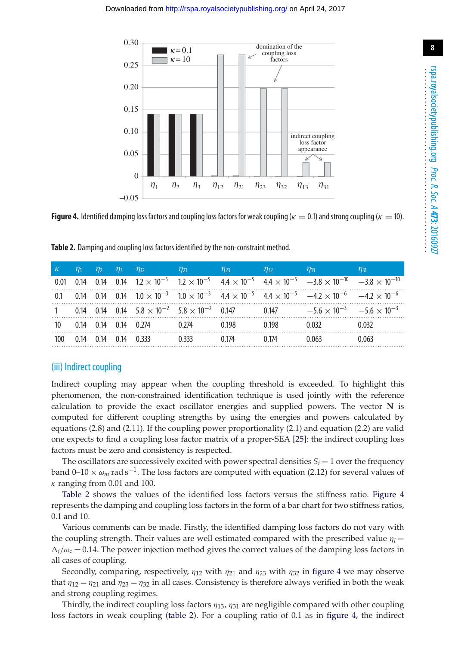

<span id="page-7-1"></span>**Figure 4.** Identified damping loss factors and coupling loss factors for weak coupling ( $\kappa = 0.1$ ) and strong coupling ( $\kappa = 10$ ).

<span id="page-7-0"></span>

| $\kappa$ $\eta_1$ $\eta_2$ $\eta_3$ $\eta_1$ |  |                          | $\eta_{21}$ $\eta_{23}$                                          |       | $\eta_{32}$ $\eta_{33}$ | $\eta_{13}$                                                                                                                                        | $n_{31}$ |
|----------------------------------------------|--|--------------------------|------------------------------------------------------------------|-------|-------------------------|----------------------------------------------------------------------------------------------------------------------------------------------------|----------|
|                                              |  |                          |                                                                  |       |                         | 0.01 0.14 0.14 0.14 $12 \times 10^{-5}$ $12 \times 10^{-5}$ $44 \times 10^{-5}$ $44 \times 10^{-5}$ $-3.8 \times 10^{-10}$ $-3.8 \times 10^{-10}$  |          |
|                                              |  |                          |                                                                  |       |                         | 0.1 0.14 0.14 0.14 $1.0 \times 10^{-3}$ $1.0 \times 10^{-3}$ $4.4 \times 10^{-5}$ $4.4 \times 10^{-5}$ $-4.2 \times 10^{-6}$ $-4.2 \times 10^{-6}$ |          |
|                                              |  |                          | 1 0.14 0.14 0.14 $5.8 \times 10^{-2}$ $5.8 \times 10^{-2}$ 0.147 |       |                         | 0.147 $-5.6 \times 10^{-3}$ $-5.6 \times 10^{-3}$                                                                                                  |          |
|                                              |  | 10 0.14 0.14 0.14 0.274  | በ ን74                                                            | በ 198 | በ 198                   | በ በ32                                                                                                                                              | 0.032    |
|                                              |  | 100 0.14 0.14 0.14 0.333 | በ 333                                                            | በ 174 | 0.174                   | በ በ63                                                                                                                                              | 0.063    |

#### (iii) Indirect coupling

Indirect coupling may appear when the coupling threshold is exceeded. To highlight this phenomenon, the non-constrained identification technique is used jointly with the reference calculation to provide the exact oscillator energies and supplied powers. The vector **N** is computed for different coupling strengths by using the energies and powers calculated by equations (2.8) and (2.11). If the coupling power proportionality (2.1) and equation (2.2) are valid one expects to find a coupling loss factor matrix of a proper-SEA [\[25\]](#page-17-14): the indirect coupling loss factors must be zero and consistency is respected.

The oscillators are successively excited with power spectral densities  $S_i = 1$  over the frequency band 0–10 ×  $\omega_m$  rad s<sup>-1</sup>. The loss factors are computed with equation (2.12) for several values of  $\kappa$  ranging from 0.01 and 100.

[Table 2](#page-7-0) shows the values of the identified loss factors versus the stiffness ratio. [Figure 4](#page-7-1) represents the damping and coupling loss factors in the form of a bar chart for two stiffness ratios, 0.1 and 10.

Various comments can be made. Firstly, the identified damping loss factors do not vary with the coupling strength. Their values are well estimated compared with the prescribed value  $\eta_i =$  $\Delta_i/\omega_c = 0.14$ . The power injection method gives the correct values of the damping loss factors in all cases of coupling.

Secondly, comparing, respectively,  $\eta_{12}$  with  $\eta_{21}$  and  $\eta_{23}$  with  $\eta_{32}$  in [figure 4](#page-7-1) we may observe that  $\eta_{12} = \eta_{21}$  and  $\eta_{23} = \eta_{32}$  in all cases. Consistency is therefore always verified in both the weak and strong coupling regimes.

Thirdly, the indirect coupling loss factors  $\eta_{13}$ ,  $\eta_{31}$  are negligible compared with other coupling loss factors in weak coupling [\(table 2\)](#page-7-0). For a coupling ratio of 0.1 as in [figure 4,](#page-7-1) the indirect **8**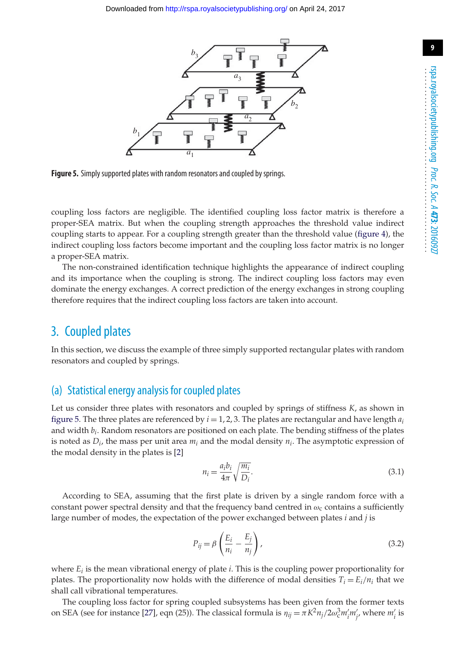

<span id="page-8-0"></span>**Figure 5.** Simply supported plates with random resonators and coupled by springs.

coupling loss factors are negligible. The identified coupling loss factor matrix is therefore a proper-SEA matrix. But when the coupling strength approaches the threshold value indirect coupling starts to appear. For a coupling strength greater than the threshold value [\(figure 4\)](#page-7-1), the indirect coupling loss factors become important and the coupling loss factor matrix is no longer a proper-SEA matrix.

The non-constrained identification technique highlights the appearance of indirect coupling and its importance when the coupling is strong. The indirect coupling loss factors may even dominate the energy exchanges. A correct prediction of the energy exchanges in strong coupling therefore requires that the indirect coupling loss factors are taken into account.

# 3. Coupled plates

In this section, we discuss the example of three simply supported rectangular plates with random resonators and coupled by springs.

## (a) Statistical energy analysis for coupled plates

Let us consider three plates with resonators and coupled by springs of stiffness *K*, as shown in [figure 5.](#page-8-0) The three plates are referenced by  $i = 1, 2, 3$ . The plates are rectangular and have length  $a_i$ and width *bi*. Random resonators are positioned on each plate. The bending stiffness of the plates is noted as *Di*, the mass per unit area *mi* and the modal density *ni*. The asymptotic expression of the modal density in the plates is [\[2\]](#page-16-1)

$$
n_i = \frac{a_i b_i}{4\pi} \sqrt{\frac{m_i}{D_i}}.\tag{3.1}
$$

According to SEA, assuming that the first plate is driven by a single random force with a constant power spectral density and that the frequency band centred in  $\omega_c$  contains a sufficiently large number of modes, the expectation of the power exchanged between plates *i* and *j* is

$$
P_{ij} = \beta \left( \frac{E_i}{n_i} - \frac{E_j}{n_j} \right),\tag{3.2}
$$

where *Ei* is the mean vibrational energy of plate *i*. This is the coupling power proportionality for plates. The proportionality now holds with the difference of modal densities  $T_i = E_i/n_i$  that we shall call vibrational temperatures.

The coupling loss factor for spring coupled subsystems has been given from the former texts on SEA (see for instance [\[27\]](#page-17-16), eqn (25)). The classical formula is  $\eta_{ij} = \pi K^2 n_j/2\omega_c^3 m'_i m'_j$ , where  $m'_i$  is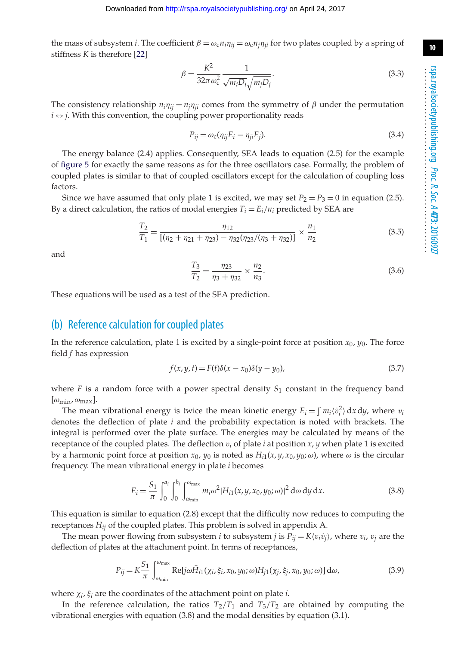the mass of subsystem *i*. The coefficient  $\beta = \omega_c n_i \eta_{ii} = \omega_c n_i \eta_{ii}$  for two plates coupled by a spring of stiffness *K* is therefore [\[22\]](#page-17-11)

$$
\beta = \frac{K^2}{32\pi\omega_c^2} \frac{1}{\sqrt{m_i D_i} \sqrt{m_j D_j}}.
$$
\n(3.3)

The consistency relationship  $n_i n_{ij} = n_j n_{ji}$  comes from the symmetry of  $\beta$  under the permutation  $i \leftrightarrow j$ . With this convention, the coupling power proportionality reads

$$
P_{ij} = \omega_c(\eta_{ij} E_i - \eta_{ji} E_j). \tag{3.4}
$$

The energy balance (2.4) applies. Consequently, SEA leads to equation (2.5) for the example of [figure 5](#page-8-0) for exactly the same reasons as for the three oscillators case. Formally, the problem of coupled plates is similar to that of coupled oscillators except for the calculation of coupling loss factors.

Since we have assumed that only plate 1 is excited, we may set  $P_2 = P_3 = 0$  in equation (2.5). By a direct calculation, the ratios of modal energies  $T_i = E_i/n_i$  predicted by SEA are

$$
\frac{T_2}{T_1} = \frac{\eta_{12}}{[(\eta_2 + \eta_{21} + \eta_{23}) - \eta_{32}(\eta_{23}/(\eta_3 + \eta_{32}))} \times \frac{n_1}{n_2}
$$
(3.5)

and

$$
\frac{T_3}{T_2} = \frac{\eta_{23}}{\eta_3 + \eta_{32}} \times \frac{n_2}{n_3}.
$$
\n(3.6)

These equations will be used as a test of the SEA prediction.

## (b) Reference calculation for coupled plates

In the reference calculation, plate 1 is excited by a single-point force at position  $x_0$ ,  $y_0$ . The force field *f* has expression

$$
f(x, y, t) = F(t)\delta(x - x_0)\delta(y - y_0),
$$
\n(3.7)

where  $F$  is a random force with a power spectral density  $S_1$  constant in the frequency band  $[\omega_{\min}, \omega_{\max}].$ 

The mean vibrational energy is twice the mean kinetic energy  $E_i = \int m_i \langle v_i^2 \rangle dx dy$ , where  $v_i$ denotes the deflection of plate *i* and the probability expectation is noted with brackets. The integral is performed over the plate surface. The energies may be calculated by means of the receptance of the coupled plates. The deflection v*<sup>i</sup>* of plate *i* at position *x*, *y* when plate 1 is excited by a harmonic point force at position  $x_0$ ,  $y_0$  is noted as  $H_{i1}(x, y, x_0, y_0; \omega)$ , where  $\omega$  is the circular frequency. The mean vibrational energy in plate *i* becomes

$$
E_i = \frac{S_1}{\pi} \int_0^{a_i} \int_0^{b_i} \int_{\omega_{\text{min}}}^{\omega_{\text{max}}} m_i \omega^2 |H_{i1}(x, y, x_0, y_0; \omega)|^2 d\omega dy dx.
$$
 (3.8)

This equation is similar to equation (2.8) except that the difficulty now reduces to computing the receptances *Hij* of the coupled plates. This problem is solved in appendix A.

The mean power flowing from subsystem *i* to subsystem *j* is  $P_{ij} = K \langle v_i v_j \rangle$ , where  $v_i$ ,  $v_j$  are the deflection of plates at the attachment point. In terms of receptances,

$$
P_{ij} = K \frac{S_1}{\pi} \int_{\omega_{\text{min}}}^{\omega_{\text{max}}} \text{Re}[j\omega \bar{H}_{i1}(\chi_i, \xi_i, x_0, y_0; \omega) H_{j1}(\chi_j, \xi_j, x_0, y_0; \omega)] d\omega,
$$
 (3.9)

where χ*i*, ξ*<sup>i</sup>* are the coordinates of the attachment point on plate *i*.

In the reference calculation, the ratios  $T_2/T_1$  and  $T_3/T_2$  are obtained by computing the vibrational energies with equation (3.8) and the modal densities by equation (3.1).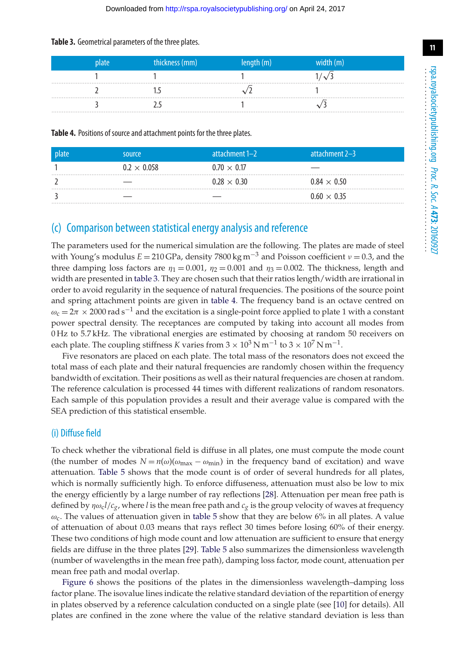#### <span id="page-10-0"></span>**Table 3.** Geometrical parameters of the three plates.

| plate | thickness (mm) | length (m) | width (m) |
|-------|----------------|------------|-----------|
|       |                |            |           |
|       |                |            |           |
|       |                |            |           |

#### **Table 4.** Positions of source and attachment points for the three plates.

<span id="page-10-1"></span>

| plate | source             | attachment 1-2     | attachment 2-3     |
|-------|--------------------|--------------------|--------------------|
|       | $0.2 \times 0.058$ | $0.70 \times 0.17$ |                    |
|       |                    | $0.28 \times 0.30$ | $0.84 \times 0.50$ |
|       |                    |                    | $0.60 \times 0.35$ |

## (c) Comparison between statistical energy analysis and reference

The parameters used for the numerical simulation are the following. The plates are made of steel with Young's modulus  $E = 210$  GPa, density 7800 kg m<sup>-3</sup> and Poisson coefficient  $\nu = 0.3$ , and the three damping loss factors are  $\eta_1 = 0.001$ ,  $\eta_2 = 0.001$  and  $\eta_3 = 0.002$ . The thickness, length and width are presented in [table 3.](#page-10-0) They are chosen such that their ratios length/width are irrational in order to avoid regularity in the sequence of natural frequencies. The positions of the source point and spring attachment points are given in [table 4.](#page-10-1) The frequency band is an octave centred on  $\omega_c = 2\pi \times 2000$  rad s<sup>-1</sup> and the excitation is a single-point force applied to plate 1 with a constant power spectral density. The receptances are computed by taking into account all modes from 0 Hz to 5.7 kHz. The vibrational energies are estimated by choosing at random 50 receivers on each plate. The coupling stiffness *K* varies from  $3 \times 10^3$  N m<sup>-1</sup> to  $3 \times 10^7$  N m<sup>-1</sup>.

Five resonators are placed on each plate. The total mass of the resonators does not exceed the total mass of each plate and their natural frequencies are randomly chosen within the frequency bandwidth of excitation. Their positions as well as their natural frequencies are chosen at random. The reference calculation is processed 44 times with different realizations of random resonators. Each sample of this population provides a result and their average value is compared with the SEA prediction of this statistical ensemble.

#### (i) Diffuse field

To check whether the vibrational field is diffuse in all plates, one must compute the mode count (the number of modes  $N = n(\omega)(\omega_{\text{max}} - \omega_{\text{min}})$  in the frequency band of excitation) and wave attenuation. [Table 5](#page-11-0) shows that the mode count is of order of several hundreds for all plates, which is normally sufficiently high. To enforce diffuseness, attenuation must also be low to mix the energy efficiently by a large number of ray reflections [\[28\]](#page-17-17). Attenuation per mean free path is defined by ηωc*l*/*cg*, where *l* is the mean free path and *cg* is the group velocity of waves at frequency  $\omega_c$ . The values of attenuation given in [table 5](#page-11-0) show that they are below 6% in all plates. A value of attenuation of about 0.03 means that rays reflect 30 times before losing 60% of their energy. These two conditions of high mode count and low attenuation are sufficient to ensure that energy fields are diffuse in the three plates [\[29\]](#page-17-18). [Table 5](#page-11-0) also summarizes the dimensionless wavelength (number of wavelengths in the mean free path), damping loss factor, mode count, attenuation per mean free path and modal overlap.

[Figure 6](#page-11-1) shows the positions of the plates in the dimensionless wavelength–damping loss factor plane. The isovalue lines indicate the relative standard deviation of the repartition of energy in plates observed by a reference calculation conducted on a single plate (see [\[10\]](#page-17-19) for details). All plates are confined in the zone where the value of the relative standard deviation is less than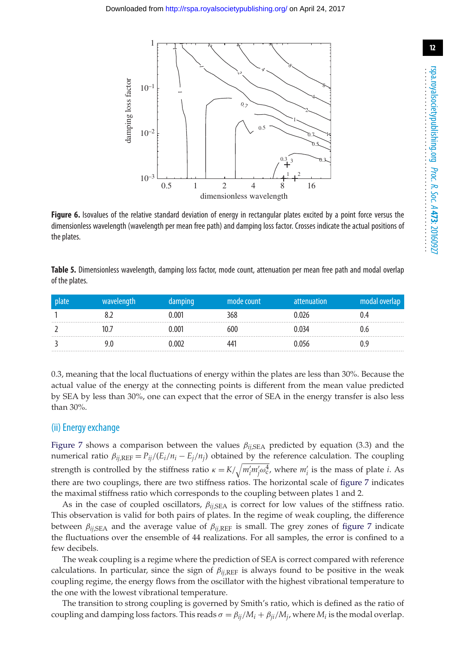

<span id="page-11-1"></span>**Figure 6.** Isovalues of the relative standard deviation of energy in rectangular plates excited by a point force versus the dimensionless wavelength (wavelength per mean free path) and damping loss factor. Crosses indicate the actual positions of the plates.

<span id="page-11-0"></span>**Table 5.** Dimensionless wavelength, damping loss factor, mode count, attenuation per mean free path and modal overlap of the plates.

| plate | wavelength | damping | mode count | attenuation | modal overlap |
|-------|------------|---------|------------|-------------|---------------|
|       |            | 0.001   | 368        | 0.026       | () 4          |
|       | 10 Z       | 0.001   | 600        | 0.034       | () h          |
|       |            | 0 002   | 441        |             |               |

0.3, meaning that the local fluctuations of energy within the plates are less than 30%. Because the actual value of the energy at the connecting points is different from the mean value predicted by SEA by less than 30%, one can expect that the error of SEA in the energy transfer is also less than 30%.

#### (ii) Energy exchange

[Figure 7](#page-12-0) shows a comparison between the values  $\beta_{ij,SEA}$  predicted by equation (3.3) and the numerical ratio  $\beta_{ij,REF} = P_{ij}/(E_i/n_i - E_j/n_j)$  obtained by the reference calculation. The coupling strength is controlled by the stiffness ratio  $\kappa = K/\sqrt{m'_im'_j\omega_c^4}$ , where  $m'_i$  is the mass of plate *i*. As there are two couplings, there are two stiffness ratios. The horizontal scale of [figure 7](#page-12-0) indicates the maximal stiffness ratio which corresponds to the coupling between plates 1 and 2.

As in the case of coupled oscillators, β*ij*,SEA is correct for low values of the stiffness ratio. This observation is valid for both pairs of plates. In the regime of weak coupling, the difference between  $\beta_{ij,SEA}$  and the average value of  $\beta_{ij,REF}$  is small. The grey zones of [figure 7](#page-12-0) indicate the fluctuations over the ensemble of 44 realizations. For all samples, the error is confined to a few decibels.

The weak coupling is a regime where the prediction of SEA is correct compared with reference calculations. In particular, since the sign of  $\beta_{ii,REF}$  is always found to be positive in the weak coupling regime, the energy flows from the oscillator with the highest vibrational temperature to the one with the lowest vibrational temperature.

The transition to strong coupling is governed by Smith's ratio, which is defined as the ratio of coupling and damping loss factors. This reads  $\sigma = \beta_{ij}/M_i + \beta_{ji}/M_j$ , where  $M_i$  is the modal overlap.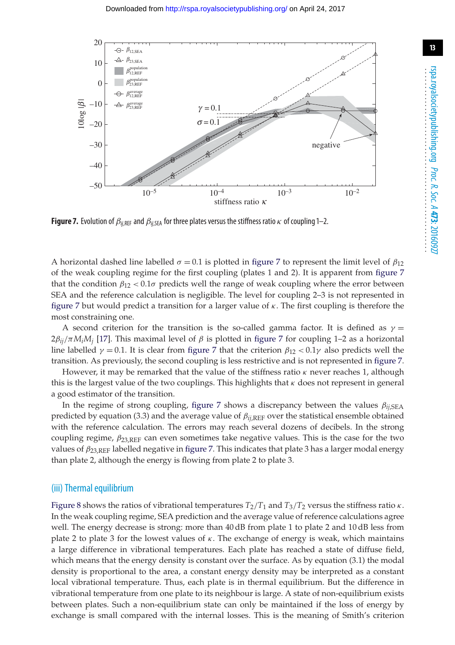

<span id="page-12-0"></span>**Figure 7.** Evolution of  $\beta_{ij,REF}$  and  $\beta_{ij,SEA}$  for three plates versus the stiffness ratio  $\kappa$  of coupling 1–2.

A horizontal dashed line labelled  $\sigma = 0.1$  is plotted in [figure 7](#page-12-0) to represent the limit level of  $\beta_{12}$ of the weak coupling regime for the first coupling (plates 1 and 2). It is apparent from [figure 7](#page-12-0) that the condition  $\beta_{12} < 0.1\sigma$  predicts well the range of weak coupling where the error between SEA and the reference calculation is negligible. The level for coupling 2–3 is not represented in [figure 7](#page-12-0) but would predict a transition for a larger value of  $\kappa$ . The first coupling is therefore the most constraining one.

A second criterion for the transition is the so-called gamma factor. It is defined as  $\gamma =$  $2\beta_{ij}/\pi M_iM_j$  [\[17\]](#page-17-6). This maximal level of  $\beta$  is plotted in [figure 7](#page-12-0) for coupling 1–2 as a horizontal line labelled  $\gamma = 0.1$ . It is clear from [figure 7](#page-12-0) that the criterion  $\beta_{12} < 0.1\gamma$  also predicts well the transition. As previously, the second coupling is less restrictive and is not represented in [figure 7.](#page-12-0)

However, it may be remarked that the value of the stiffness ratio  $\kappa$  never reaches 1, although this is the largest value of the two couplings. This highlights that  $\kappa$  does not represent in general a good estimator of the transition.

In the regime of strong coupling, [figure 7](#page-12-0) shows a discrepancy between the values  $\beta_{ij,SEA}$ predicted by equation (3.3) and the average value of β*ij*,REF over the statistical ensemble obtained with the reference calculation. The errors may reach several dozens of decibels. In the strong coupling regime,  $\beta_{23,\text{REF}}$  can even sometimes take negative values. This is the case for the two values of  $\beta_{23,\text{REF}}$  labelled negative in [figure 7.](#page-12-0) This indicates that plate 3 has a larger modal energy than plate 2, although the energy is flowing from plate 2 to plate 3.

#### (iii) Thermal equilibrium

[Figure 8](#page-13-0) shows the ratios of vibrational temperatures  $T_2/T_1$  and  $T_3/T_2$  versus the stiffness ratio  $\kappa$ . In the weak coupling regime, SEA prediction and the average value of reference calculations agree well. The energy decrease is strong: more than 40 dB from plate 1 to plate 2 and 10 dB less from plate 2 to plate 3 for the lowest values of  $\kappa$ . The exchange of energy is weak, which maintains a large difference in vibrational temperatures. Each plate has reached a state of diffuse field, which means that the energy density is constant over the surface. As by equation (3.1) the modal density is proportional to the area, a constant energy density may be interpreted as a constant local vibrational temperature. Thus, each plate is in thermal equilibrium. But the difference in vibrational temperature from one plate to its neighbour is large. A state of non-equilibrium exists between plates. Such a non-equilibrium state can only be maintained if the loss of energy by exchange is small compared with the internal losses. This is the meaning of Smith's criterion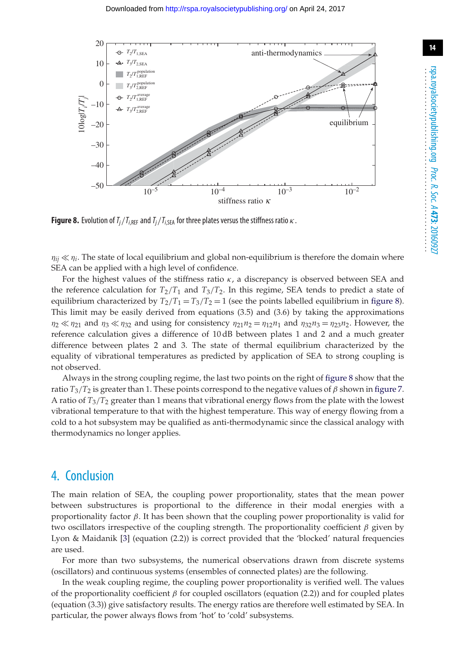

<span id="page-13-0"></span>**Figure 8.** Evolution of  $T_j/T_{i,\text{REF}}$  and  $T_j/T_{i,\text{SEA}}$  for three plates versus the stiffness ratio  $\kappa$ .

 $\eta_{ii} \ll \eta_i$ . The state of local equilibrium and global non-equilibrium is therefore the domain where SEA can be applied with a high level of confidence.

For the highest values of the stiffness ratio  $\kappa$ , a discrepancy is observed between SEA and the reference calculation for  $T_2/T_1$  and  $T_3/T_2$ . In this regime, SEA tends to predict a state of equilibrium characterized by  $T_2/T_1 = T_3/T_2 = 1$  (see the points labelled equilibrium in [figure 8\)](#page-13-0). This limit may be easily derived from equations (3.5) and (3.6) by taking the approximations  $\eta_2 \ll \eta_2$  and  $\eta_3 \ll \eta_3$  and using for consistency  $\eta_{21}\eta_2 = \eta_{12}\eta_1$  and  $\eta_{32}\eta_3 = \eta_{23}\eta_2$ . However, the reference calculation gives a difference of 10 dB between plates 1 and 2 and a much greater difference between plates 2 and 3. The state of thermal equilibrium characterized by the equality of vibrational temperatures as predicted by application of SEA to strong coupling is not observed.

Always in the strong coupling regime, the last two points on the right of [figure 8](#page-13-0) show that the ratio  $T_3/T_2$  is greater than 1. These points correspond to the negative values of  $\beta$  shown in [figure 7.](#page-12-0) A ratio of *T*3/*T*<sup>2</sup> greater than 1 means that vibrational energy flows from the plate with the lowest vibrational temperature to that with the highest temperature. This way of energy flowing from a cold to a hot subsystem may be qualified as anti-thermodynamic since the classical analogy with thermodynamics no longer applies.

# 4. Conclusion

The main relation of SEA, the coupling power proportionality, states that the mean power between substructures is proportional to the difference in their modal energies with a proportionality factor  $β$ . It has been shown that the coupling power proportionality is valid for two oscillators irrespective of the coupling strength. The proportionality coefficient  $\beta$  given by Lyon & Maidanik [\[3\]](#page-16-2) (equation (2.2)) is correct provided that the 'blocked' natural frequencies are used.

For more than two subsystems, the numerical observations drawn from discrete systems (oscillators) and continuous systems (ensembles of connected plates) are the following.

In the weak coupling regime, the coupling power proportionality is verified well. The values of the proportionality coefficient  $\beta$  for coupled oscillators (equation (2.2)) and for coupled plates (equation (3.3)) give satisfactory results. The energy ratios are therefore well estimated by SEA. In particular, the power always flows from 'hot' to 'cold' subsystems.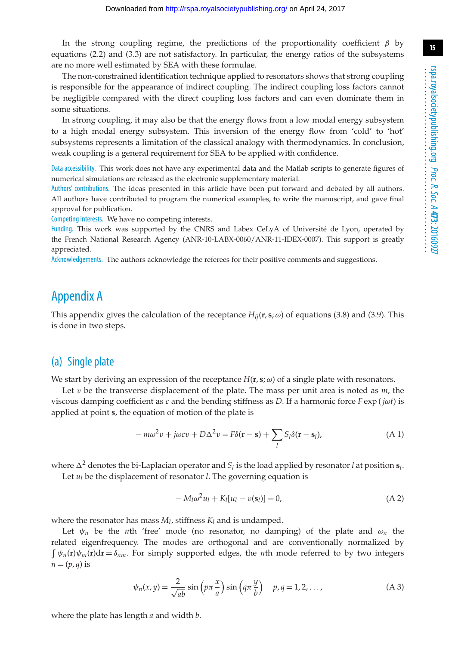**15**

In the strong coupling regime, the predictions of the proportionality coefficient  $\beta$  by equations (2.2) and (3.3) are not satisfactory. In particular, the energy ratios of the subsystems are no more well estimated by SEA with these formulae.

The non-constrained identification technique applied to resonators shows that strong coupling is responsible for the appearance of indirect coupling. The indirect coupling loss factors cannot be negligible compared with the direct coupling loss factors and can even dominate them in some situations.

In strong coupling, it may also be that the energy flows from a low modal energy subsystem to a high modal energy subsystem. This inversion of the energy flow from 'cold' to 'hot' subsystems represents a limitation of the classical analogy with thermodynamics. In conclusion, weak coupling is a general requirement for SEA to be applied with confidence.

Data accessibility. This work does not have any experimental data and the Matlab scripts to generate figures of numerical simulations are released as the electronic supplementary material.

Authors' contributions. The ideas presented in this article have been put forward and debated by all authors. All authors have contributed to program the numerical examples, to write the manuscript, and gave final approval for publication.

Competing interests. We have no competing interests.

Funding. This work was supported by the CNRS and Labex CeLyA of Université de Lyon, operated by the French National Research Agency (ANR-10-LABX-0060/ANR-11-IDEX-0007). This support is greatly appreciated.

Acknowledgements. The authors acknowledge the referees for their positive comments and suggestions.

# Appendix A

This appendix gives the calculation of the receptance  $H_{ii}(\mathbf{r}, \mathbf{s}; \omega)$  of equations (3.8) and (3.9). This is done in two steps.

## (a) Single plate

We start by deriving an expression of the receptance  $H(\mathbf{r}, \mathbf{s}; \omega)$  of a single plate with resonators.

Let v be the transverse displacement of the plate. The mass per unit area is noted as *m*, the viscous damping coefficient as *c* and the bending stiffness as *D*. If a harmonic force *F* exp ( *j*ω*t*) is applied at point **s**, the equation of motion of the plate is

$$
-m\omega^2 v + j\omega c v + D\Delta^2 v = F\delta(\mathbf{r} - \mathbf{s}) + \sum_l S_l \delta(\mathbf{r} - \mathbf{s}_l),
$$
\n(A1)

where  $\Delta^2$  denotes the bi-Laplacian operator and  $S_l$  is the load applied by resonator *l* at position  $s_l$ . Let  $u_l$  be the displacement of resonator *l*. The governing equation is

$$
-M_l\omega^2 u_l + K_l[u_l - v(\mathbf{s}_l)] = 0,
$$
\n(A 2)

where the resonator has mass  $M_l$ , stiffness  $K_l$  and is undamped.

Let  $\psi_n$  be the *n*th 'free' mode (no resonator, no damping) of the plate and  $\omega_n$  the related eigenfrequency. The modes are orthogonal and are conventionally normalized by  $\int \psi_n(\mathbf{r}) \psi_m(\mathbf{r}) d\mathbf{r} = \delta_{nm}$ . For simply supported edges, the *n*th mode referred to by two integers  $n = (p, q)$  is

$$
\psi_n(x,y) = \frac{2}{\sqrt{ab}} \sin\left(p\pi \frac{x}{a}\right) \sin\left(q\pi \frac{y}{b}\right) \quad p, q = 1, 2, \dots,
$$
 (A 3)

where the plate has length *a* and width *b*.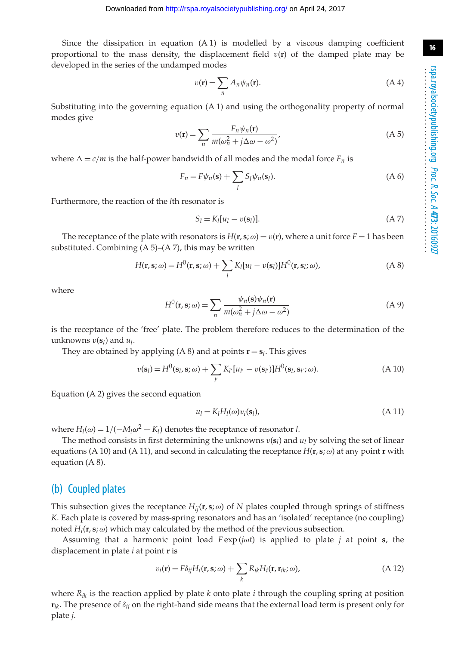Since the dissipation in equation (A 1) is modelled by a viscous damping coefficient proportional to the mass density, the displacement field  $v(r)$  of the damped plate may be developed in the series of the undamped modes

$$
v(\mathbf{r}) = \sum_{n} A_n \psi_n(\mathbf{r}).
$$
\n(A4)

Substituting into the governing equation (A 1) and using the orthogonality property of normal modes give

$$
v(\mathbf{r}) = \sum_{n} \frac{F_n \psi_n(\mathbf{r})}{m(\omega_n^2 + j\Delta\omega - \omega^2)},
$$
 (A 5)

where  $\Delta = c/m$  is the half-power bandwidth of all modes and the modal force  $F_n$  is

$$
F_n = F\psi_n(\mathbf{s}) + \sum_l S_l\psi_n(\mathbf{s}_l). \tag{A 6}
$$

Furthermore, the reaction of the *l*th resonator is

$$
S_l = K_l[u_l - v(\mathbf{s}_l)].\tag{A 7}
$$

The receptance of the plate with resonators is  $H(\mathbf{r}, \mathbf{s}; \omega) = v(\mathbf{r})$ , where a unit force  $F = 1$  has been substituted. Combining  $(A 5)$ – $(A 7)$ , this may be written

$$
H(\mathbf{r}, \mathbf{s}; \omega) = H^0(\mathbf{r}, \mathbf{s}; \omega) + \sum_l K_l [u_l - v(\mathbf{s}_l)] H^0(\mathbf{r}, \mathbf{s}_l; \omega), \tag{A 8}
$$

where

$$
H^{0}(\mathbf{r}, \mathbf{s}; \omega) = \sum_{n} \frac{\psi_{n}(\mathbf{s}) \psi_{n}(\mathbf{r})}{m(\omega_{n}^{2} + j\Delta\omega - \omega^{2})}
$$
(A 9)

is the receptance of the 'free' plate. The problem therefore reduces to the determination of the unknowns  $v(\mathbf{s}_l)$  and  $u_l$ .

They are obtained by applying  $(A 8)$  and at points  $\mathbf{r} = \mathbf{s}_l$ . This gives

$$
v(\mathbf{s}_l) = H^0(\mathbf{s}_l, \mathbf{s}; \omega) + \sum_{l'} K_{l'} [u_{l'} - v(\mathbf{s}_{l'})] H^0(\mathbf{s}_l, \mathbf{s}_{l'}; \omega).
$$
 (A 10)

Equation (A 2) gives the second equation

$$
u_l = K_l H_l(\omega) v_i(\mathbf{s}_l), \tag{A 11}
$$

where  $H_l(\omega) = 1/(-M_l\omega^2 + K_l)$  denotes the receptance of resonator *l*.

The method consists in first determining the unknowns  $v(s_l)$  and  $u_l$  by solving the set of linear equations (A 10) and (A 11), and second in calculating the receptance  $H(\mathbf{r}, \mathbf{s}; \omega)$  at any point **r** with equation (A 8).

## (b) Coupled plates

This subsection gives the receptance  $H_{ij}(\mathbf{r}, \mathbf{s}; \omega)$  of *N* plates coupled through springs of stiffness *K*. Each plate is covered by mass-spring resonators and has an 'isolated' receptance (no coupling) noted  $H_i(\mathbf{r}, \mathbf{s}; \omega)$  which may calculated by the method of the previous subsection.

Assuming that a harmonic point load *F* exp (*j*ω*t*) is applied to plate *j* at point **s**, the displacement in plate *i* at point **r** is

$$
v_i(\mathbf{r}) = F\delta_{ij}H_i(\mathbf{r}, \mathbf{s}; \omega) + \sum_k R_{ik}H_i(\mathbf{r}, \mathbf{r}_{ik}; \omega),
$$
 (A 12)

where  $R_{ik}$  is the reaction applied by plate  $k$  onto plate  $i$  through the coupling spring at position **r***ik*. The presence of δ*ij* on the right-hand side means that the external load term is present only for plate *j*.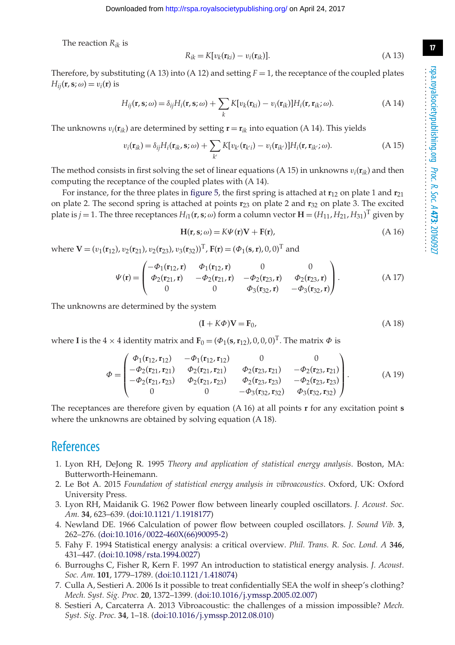The reaction *Rik* is

$$
R_{ik} = K[v_k(\mathbf{r}_{ki}) - v_i(\mathbf{r}_{ik})].
$$
\n(A 13)

Therefore, by substituting (A 13) into (A 12) and setting  $F = 1$ , the receptance of the coupled plates  $H_{ii}(\mathbf{r}, \mathbf{s}; \omega) = v_i(\mathbf{r})$  is

$$
H_{ij}(\mathbf{r}, \mathbf{s}; \omega) = \delta_{ij} H_i(\mathbf{r}, \mathbf{s}; \omega) + \sum_k K[v_k(\mathbf{r}_{ki}) - v_i(\mathbf{r}_{ik})] H_i(\mathbf{r}, \mathbf{r}_{ik}; \omega).
$$
 (A 14)

The unknowns  $v_i(\mathbf{r}_{ik})$  are determined by setting  $\mathbf{r} = \mathbf{r}_{ik}$  into equation (A 14). This yields

$$
v_i(\mathbf{r}_{ik}) = \delta_{ij} H_i(\mathbf{r}_{ik}, \mathbf{s}; \omega) + \sum_{k'} K[v_{k'}(\mathbf{r}_{k'i}) - v_i(\mathbf{r}_{ik'})] H_i(\mathbf{r}, \mathbf{r}_{ik'}; \omega).
$$
(A 15)

The method consists in first solving the set of linear equations (A 15) in unknowns  $v_i(\mathbf{r}_{ik})$  and then computing the receptance of the coupled plates with (A 14).

For instance, for the three plates in [figure 5,](#page-8-0) the first spring is attached at **r**<sup>12</sup> on plate 1 and **r**<sup>21</sup> on plate 2. The second spring is attached at points **r**<sup>23</sup> on plate 2 and **r**<sup>32</sup> on plate 3. The excited plate is  $j = 1$ . The three receptances  $H_{i1}$ (**r**, **s**;  $\omega$ ) form a column vector  $\mathbf{H} = (H_{11}, H_{21}, H_{31})^T$  given by

$$
H(r, s; \omega) = K\Psi(r)V + F(r),
$$
\n(A 16)

where  $V = (v_1(r_{12}), v_2(r_{21}), v_2(r_{23}), v_3(r_{32}))^T$ ,  $F(r) = (\Phi_1(s, r), 0, 0)^T$  and

$$
\Psi(\mathbf{r}) = \begin{pmatrix}\n-\Phi_1(\mathbf{r}_{12}, \mathbf{r}) & \Phi_1(\mathbf{r}_{12}, \mathbf{r}) & 0 & 0 \\
\Phi_2(\mathbf{r}_{21}, \mathbf{r}) & -\Phi_2(\mathbf{r}_{21}, \mathbf{r}) & -\Phi_2(\mathbf{r}_{23}, \mathbf{r}) & \Phi_2(\mathbf{r}_{23}, \mathbf{r}) \\
0 & 0 & \Phi_3(\mathbf{r}_{32}, \mathbf{r}) & -\Phi_3(\mathbf{r}_{32}, \mathbf{r})\n\end{pmatrix}.
$$
\n(A 17)

The unknowns are determined by the system

$$
(\mathbf{I} + K\Phi)\mathbf{V} = \mathbf{F}_0,\tag{A.18}
$$

where **I** is the  $4 \times 4$  identity matrix and  $\mathbf{F}_0 = (\phi_1(\mathbf{s}, \mathbf{r}_{12}), 0, 0, 0)^T$ . The matrix  $\phi$  is

$$
\Phi = \begin{pmatrix}\n\Phi_1(\mathbf{r}_{12}, \mathbf{r}_{12}) & -\Phi_1(\mathbf{r}_{12}, \mathbf{r}_{12}) & 0 & 0 \\
-\Phi_2(\mathbf{r}_{21}, \mathbf{r}_{21}) & \Phi_2(\mathbf{r}_{21}, \mathbf{r}_{21}) & \Phi_2(\mathbf{r}_{23}, \mathbf{r}_{21}) & -\Phi_2(\mathbf{r}_{23}, \mathbf{r}_{21}) \\
-\Phi_2(\mathbf{r}_{21}, \mathbf{r}_{23}) & \Phi_2(\mathbf{r}_{21}, \mathbf{r}_{23}) & \Phi_2(\mathbf{r}_{23}, \mathbf{r}_{23}) & -\Phi_2(\mathbf{r}_{23}, \mathbf{r}_{23}) \\
0 & 0 & -\Phi_3(\mathbf{r}_{32}, \mathbf{r}_{32}) & \Phi_3(\mathbf{r}_{32}, \mathbf{r}_{32})\n\end{pmatrix}.
$$
\n(A 19)

The receptances are therefore given by equation (A 16) at all points **r** for any excitation point **s** where the unknowns are obtained by solving equation (A 18).

# <span id="page-16-0"></span>**References**

- 1. Lyon RH, DeJong R. 1995 *Theory and application of statistical energy analysis*. Boston, MA: Butterworth-Heinemann.
- <span id="page-16-1"></span>2. Le Bot A. 2015 *Foundation of statistical energy analysis in vibroacoustics*. Oxford, UK: Oxford University Press.
- <span id="page-16-2"></span>3. Lyon RH, Maidanik G. 1962 Power flow between linearly coupled oscillators. *J. Acoust. Soc. Am.* **34**, 623–639. [\(doi:10.1121/1.1918177\)](http://dx.doi.org/doi:10.1121/1.1918177)
- <span id="page-16-3"></span>4. Newland DE. 1966 Calculation of power flow between coupled oscillators. *J. Sound Vib.* **3**, 262–276. [\(doi:10.1016/0022-460X\(66\)90095-2\)](http://dx.doi.org/doi:10.1016/0022-460X(66)90095-2)
- <span id="page-16-4"></span>5. Fahy F. 1994 Statistical energy analysis: a critical overview. *Phil. Trans. R. Soc. Lond. A* **346**, 431–447. [\(doi:10.1098/rsta.1994.0027\)](http://dx.doi.org/doi:10.1098/rsta.1994.0027)
- 6. Burroughs C, Fisher R, Kern F. 1997 An introduction to statistical energy analysis. *J. Acoust. Soc. Am.* **101**, 1779–1789. [\(doi:10.1121/1.418074\)](http://dx.doi.org/doi:10.1121/1.418074)
- 7. Culla A, Sestieri A. 2006 Is it possible to treat confidentially SEA the wolf in sheep's clothing? *Mech. Syst. Sig. Proc.* **20**, 1372–1399. [\(doi:10.1016/j.ymssp.2005.02.007\)](http://dx.doi.org/doi:10.1016/j.ymssp.2005.02.007)
- 8. Sestieri A, Carcaterra A. 2013 Vibroacoustic: the challenges of a mission impossible? *Mech. Syst. Sig. Proc.* **34**, 1–18. [\(doi:10.1016/j.ymssp.2012.08.010\)](http://dx.doi.org/doi:10.1016/j.ymssp.2012.08.010)